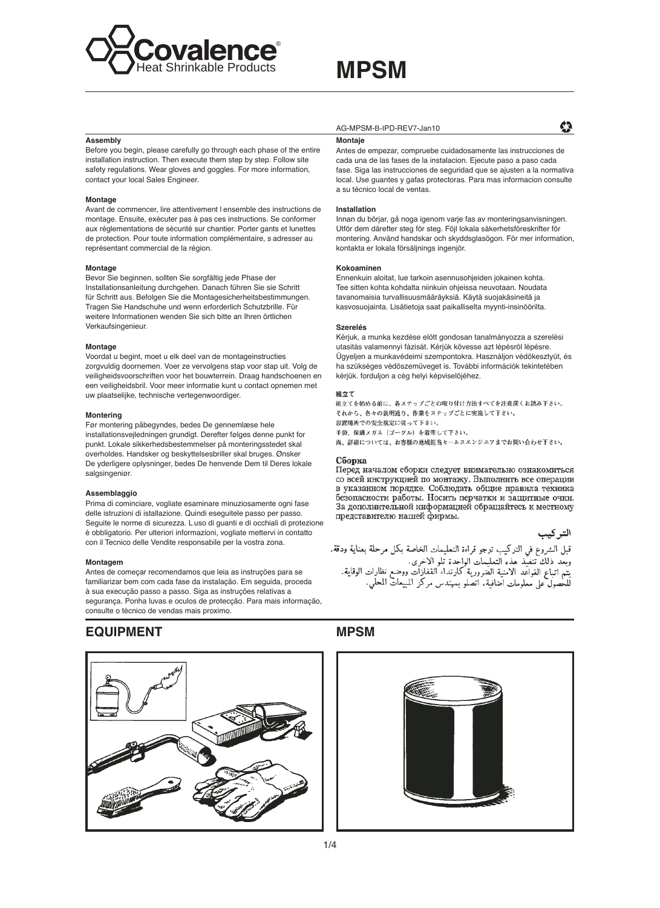

## **MPSM**

#### Accombly

Before you begin, please carefully go through each phase of the entire installation instruction. Then execute them step by step. Follow site safety regulations. Wear gloves and goggles. For more information, contact your local Sales Engineer.

#### Montage

Avant de commencer, lire attentivement I ensemble des instructions de montage. Ensuite, exécuter pas à pas ces instructions. Se conformer aux réglementations de sécurité sur chantier. Porter gants et lunettes de protection. Pour toute information complémentaire, s adresser au représentant commercial de la région.

#### Montage

Bevor Sie beginnen, sollten Sie sorgfältig jede Phase der Installationsanleitung durchgehen. Danach führen Sie sie Schritt für Schritt aus. Befolgen Sie die Montagesicherheitsbestimmungen. Tragen Sie Handschuhe und wenn erforderlich Schutzbrille. Für weitere Informationen wenden Sie sich bitte an Ihren örtlichen Verkaufsingenieur.

#### Montage

Voordat u begint, moet u elk deel van de montageinstructies zorgvuldig doornemen. Voer ze vervolgens stap voor stap uit. Volg de veiligheidsvoorschriften voor het bouwterrein. Draag handschoenen en een veiligheidsbril. Voor meer informatie kunt u contact opnemen met uw plaatselijke, technische vertegenwoordiger.

#### Montering

Før montering påbegyndes, bedes De gennemlæse hele installationsvejledningen grundigt. Derefter følges denne punkt for punkt. Lokale sikkerhedsbestemmelser på monteringsstedet skal overholdes. Handsker og beskyttelsesbriller skal bruges. Ønsker De yderligere oplysninger, bedes De henvende Dem til Deres lokale salgsingeniør.

#### Assemblaggio

Prima di cominciare, vogliate esaminare minuziosamente ogni fase delle istruzioni di istallazione. Quindi esequitele passo per passo. Seguite le norme di sicurezza. Luso di guanti e di occhiali di protezione è obbligatorio. Per ulteriori informazioni, vogliate mettervi in contatto con il Tecnico delle Vendite responsabile per la vostra zona.

#### Montagem

Antes de começar recomendamos que leia as instruções para se familiarizar bem com cada fase da instalação. Em seguida, proceda à sua execução passo a passo. Siga as instruções relativas a segurança. Ponha luvas e oculos de protecção. Para mais informação, consulte o técnico de vendas mais proximo

### **EQUIPMENT**



#### AG-MPSM-B-IPD-REV7-Jan10

#### Montaje

Antes de empezar, compruebe cuidadosamente las instrucciones de cada una de las fases de la instalacion. Ejecute paso a paso cada fase. Siga las instrucciones de seguridad que se ajusten a la normativa local. Use quantes y gafas protectoras. Para mas informacion consulte a su técnico local de ventas

#### Installation

Innan du börjar, gå noga igenom varje fas av monteringsanvisningen. Utför dem därefter steg för steg. Föjl lokala säkerhetsföreskrifter för montering. Använd handskar och skyddsglasögon. För mer information, kontakta er lokala försäljnings ingenjör.

#### Kokoaminen

Ennenkuin aloitat, lue tarkoin asennusohjeiden jokainen kohta. Tee sitten kohta kohdalta niinkuin ohjeissa neuvotaan. Noudata tavanomaisia turvallisuusmääräyksiä. Käytä suojakäsineitä ja kasvosuojainta. Lisätietoja saat paikalliselta myynti-insinöörilta.

#### Szerelés

Kériuk, a munka kezdése elött gondosan tanalmányozza a szerelési utasitás valamennyi fázisát. Kérjük kövesse azt lépésröl lépésre. Ügyeljen a munkavédeimi szempontokra. Használjon védökesztyüt, és ha szükséges védöszemüveget is. További információk tekintetében kérjük. forduljon a cég helyi képviselöjéhez.

#### 組立て

組立てを始める前に、各ステップごとの取り付け方法すべてを注意深くお読み下さい。 それから、各々の説明通り、作業をステップごとに実施して下さい。 設置場所での安全規定に従って下さい。 手袋、保護メガネ (ゴーグル) を着用して下さい。 尚、詳細については、お客様の地域担当セールスエンジニアまでお問い合わせ下さい。

#### Сборка

Перед началом сборки следует внимательно ознакомиться со всей инструкцией по монтажу. Выполнить все операции в указанном порядке. Соблюдать общие правила техника безопасности работы. Носить перчатки и защитные очки. За дополнительной информацией обращайтесь к местному представителю нашей фирмы.

التر كيب

¢Þ

قبل الشروع في التركيب ترجو قراءة التعليمات الخاصة بكل مرحلة بعناية ودقة.<br>وبعد ذلك تنفيذ هذه التعليمات الواحدة تلو الاخرى.<br>يتم اتباع القواعد الامنية الضرورية كارتداء القفازات ووضع نظارات الوقاية.<br>للحصول على معلومات اضافية،

### **MPSM**

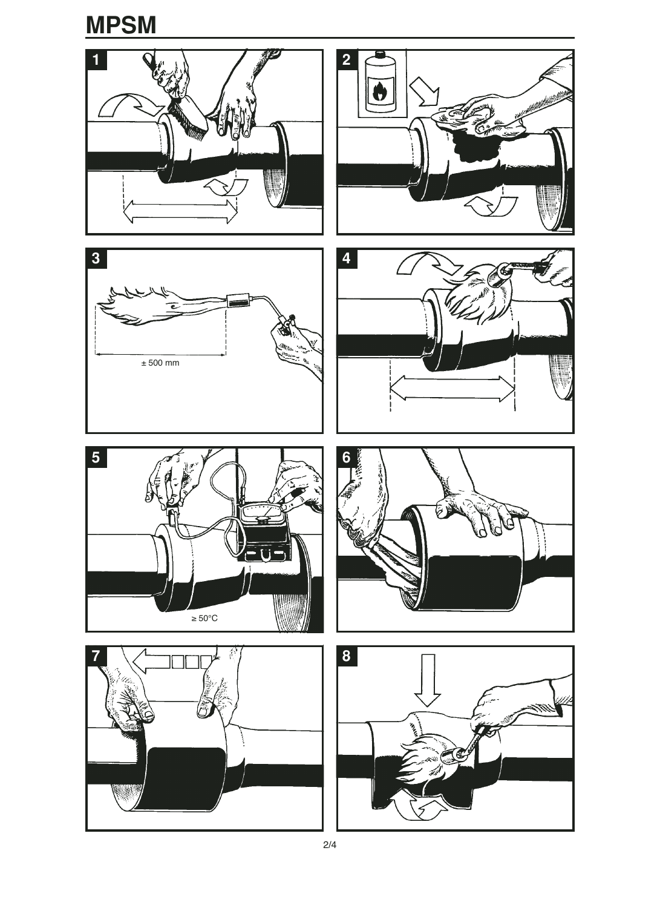### **MPSM**

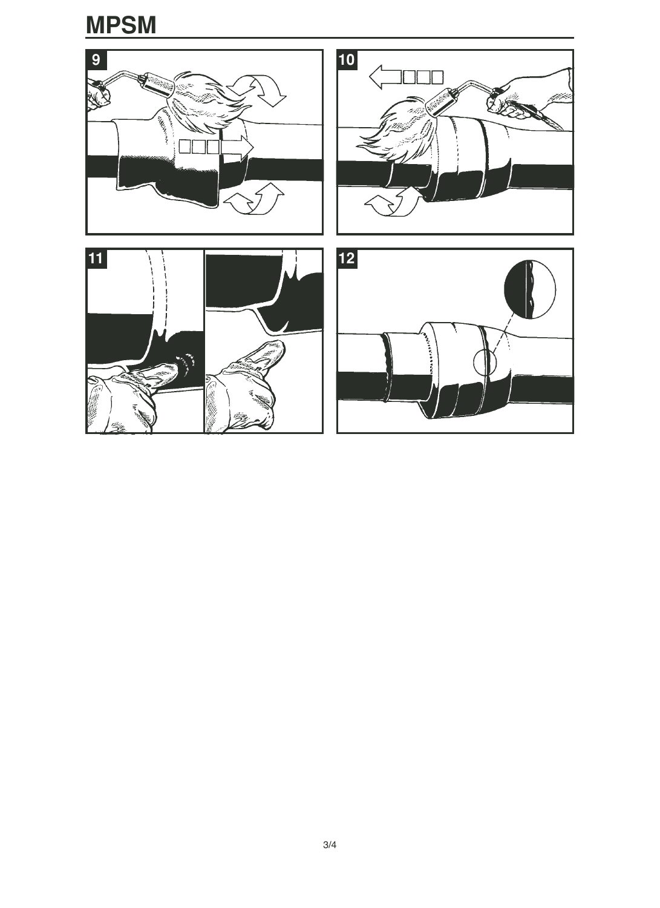# **MPSM**